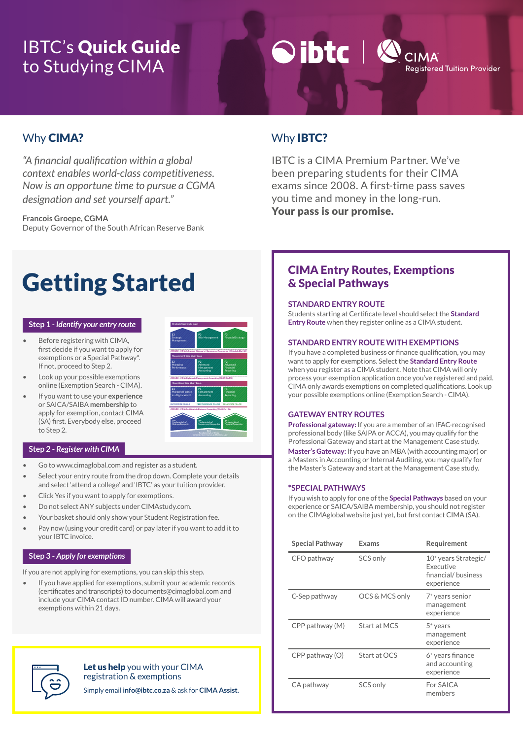## IBTC's Quick Guide to Studying CIMA

# $\odot$ ibtc  $\vert\,\,\ll$

Registered Tuition Provider

## Why **CIMA?** Why **IBTC?**

*"A financial qualification within a global context enables world-class competitiveness. Now is an opportune time to pursue a CGMA designation and set yourself apart."*

**Francois Groepe, CGMA**  Deputy Governor of the South African Reserve Bank

## Getting Started

#### **Step 1** *- Identify your entry route*

- Before registering with CIMA, first decide if you want to apply for exemptions or a Special Pathway\*. If not, proceed to Step 2.
- Look up your possible exemptions online (Exemption Search - CIMA).
- If you want to use your **experience** or SAICA/SAIBA **membership** to apply for exemption, contact CIMA (SA) first. Everybody else, proceed to Step 2.

### **Step 2 -** *Register with CIMA*

- Go t[o www.cimaglobal.com a](http://www.cimaglobal.com)nd register as a student.
- Select your entry route from the drop down. Complete your details and select 'attend a college' and 'IBTC' as your tuition provider.
- Click Yes if you want to apply for exemptions.
- Do not select ANY subjects under CIMAstudy.com.
- Your basket should only show your Student Registration fee.
- Pay now (using your credit card) or pay later if you want to add it to your IBTC invoice.

#### **Step 3 -** *Apply for exemptions*

If you are not applying for exemptions, you can skip this step.

If you have applied for exemptions, submit your academic records (certificates and transcripts) t[o documents@cimaglobal.com a](mailto:documents%40cimaglobal.com?subject=)nd include your CIMA contact ID number. CIMA will award your exemptions within 21 days.



Let us help you with your CIMA registration & exemptions

Simply email **[info@ibtc.co.za](mailto:info%40ibtc.co.za?subject=CIMA%20Assist)** & ask for **CIMA Assist.**

IBTC is a CIMA Premium Partner. We've been preparing students for their CIMA exams since 2008. A first-time pass saves you time and money in the long-run. Your pass is our promise.

### CIMA Entry Routes, Exemptions & Special Pathways

#### **STANDARD ENTRY ROUTE**

Students starting at Certificate level should select the **Standard Entry Route** when they register online as a CIMA student.

#### **STANDARD ENTRY ROUTE WITH EXEMPTIONS**

If you have a completed business or finance qualification, you may want to apply for exemptions. Select the **Standard Entry Route** when you register as a CIMA student. Note that CIMA will only process your exemption application once you've registered and paid. CIMA only awards exemptions on completed qualifications. Look up your possible exemptions online (Exemption Search - CIMA).

#### **GATEWAY ENTRY ROUTES**

**Professional gateway:** If you are a member of an IFAC-recognised professional body (like SAIPA or ACCA), you may qualify for the Professional Gateway and start at the Management Case study. **Master's Gateway:** If you have an MBA (with accounting major) or a Masters in Accounting or Internal Auditing, you may qualify for the Master's Gateway and start at the Management Case study.

#### **\*SPECIAL PATHWAYS**

If you wish to apply for one of the **Special Pathways** based on your experience or SAICA/SAIBA membership, you should not register on the CIMAglobal website just yet, but first contact CIMA (SA).

| <b>Special Pathway</b> | Exams          | Requirement                                                                       |
|------------------------|----------------|-----------------------------------------------------------------------------------|
| CFO pathway            | SCS only       | 10 <sup>+</sup> years Strategic/<br>Executive<br>financial/business<br>experience |
| C-Sep pathway          | OCS & MCS only | 7 <sup>+</sup> years senior<br>management<br>experience                           |
| CPP pathway (M)        | Start at MCS   | $5+$ years<br>management<br>experience                                            |
| $CPP$ pathway $(O)$    | Start at OCS   | 6 <sup>+</sup> years finance<br>and accounting<br>experience                      |
| CA pathway             | SCS only       | For SAICA<br>members                                                              |